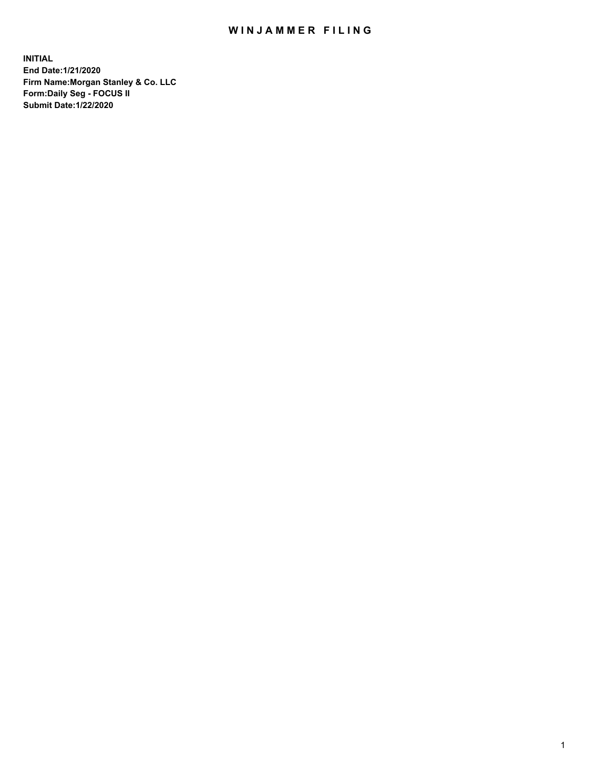## WIN JAMMER FILING

**INITIAL End Date:1/21/2020 Firm Name:Morgan Stanley & Co. LLC Form:Daily Seg - FOCUS II Submit Date:1/22/2020**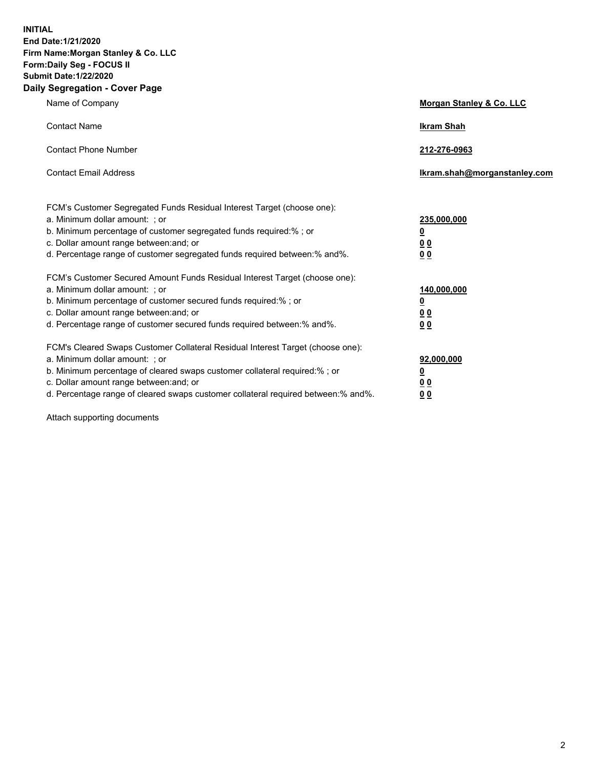**INITIAL End Date:1/21/2020 Firm Name:Morgan Stanley & Co. LLC Form:Daily Seg - FOCUS II Submit Date:1/22/2020 Daily Segregation - Cover Page**

| Name of Company                                                                   | Morgan Stanley & Co. LLC     |
|-----------------------------------------------------------------------------------|------------------------------|
| <b>Contact Name</b>                                                               | <b>Ikram Shah</b>            |
| <b>Contact Phone Number</b>                                                       | 212-276-0963                 |
| <b>Contact Email Address</b>                                                      | Ikram.shah@morganstanley.com |
| FCM's Customer Segregated Funds Residual Interest Target (choose one):            |                              |
| a. Minimum dollar amount: ; or                                                    | 235,000,000                  |
| b. Minimum percentage of customer segregated funds required:% ; or                | <u>0</u>                     |
| c. Dollar amount range between: and; or                                           | 0 <sub>0</sub>               |
| d. Percentage range of customer segregated funds required between: % and %.       | 0 <sub>0</sub>               |
| FCM's Customer Secured Amount Funds Residual Interest Target (choose one):        |                              |
| a. Minimum dollar amount: ; or                                                    | 140,000,000                  |
| b. Minimum percentage of customer secured funds required:%; or                    | <u>0</u>                     |
| c. Dollar amount range between: and; or                                           | 0 <sub>0</sub>               |
| d. Percentage range of customer secured funds required between:% and%.            | 0 <sub>0</sub>               |
| FCM's Cleared Swaps Customer Collateral Residual Interest Target (choose one):    |                              |
| a. Minimum dollar amount: ; or                                                    | 92,000,000                   |
| b. Minimum percentage of cleared swaps customer collateral required:% ; or        | <u>0</u>                     |
| c. Dollar amount range between: and; or                                           | <u>00</u>                    |
| d. Percentage range of cleared swaps customer collateral required between:% and%. | 00                           |

Attach supporting documents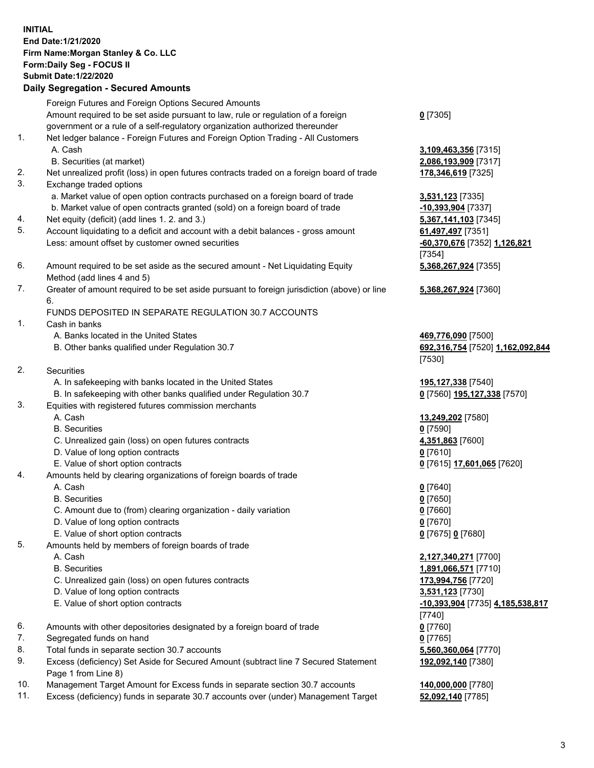## **INITIAL End Date:1/21/2020 Firm Name:Morgan Stanley & Co. LLC Form:Daily Seg - FOCUS II Submit Date:1/22/2020 Daily Segregation - Secured Amounts** Foreign Futures and Foreign Options Secured Amounts Amount required to be set aside pursuant to law, rule or regulation of a foreign government or a rule of a self-regulatory organization authorized thereunder **0** [7305] 1. Net ledger balance - Foreign Futures and Foreign Option Trading - All Customers A. Cash **3,109,463,356** [7315] B. Securities (at market) **2,086,193,909** [7317] 2. Net unrealized profit (loss) in open futures contracts traded on a foreign board of trade **178,346,619** [7325] 3. Exchange traded options a. Market value of open option contracts purchased on a foreign board of trade **3,531,123** [7335] b. Market value of open contracts granted (sold) on a foreign board of trade **-10,393,904** [7337] 4. Net equity (deficit) (add lines 1. 2. and 3.) **5,367,141,103** [7345] 5. Account liquidating to a deficit and account with a debit balances - gross amount **61,497,497** [7351] Less: amount offset by customer owned securities **-60,370,676** [7352] **1,126,821** 6. Amount required to be set aside as the secured amount - Net Liquidating Equity Method (add lines 4 and 5) 7. Greater of amount required to be set aside pursuant to foreign jurisdiction (above) or line 6. FUNDS DEPOSITED IN SEPARATE REGULATION 30.7 ACCOUNTS 1. Cash in banks A. Banks located in the United States **469,776,090** [7500] B. Other banks qualified under Regulation 30.7 **692,316,754** [7520] **1,162,092,844** 2. Securities A. In safekeeping with banks located in the United States **195,127,338** [7540] B. In safekeeping with other banks qualified under Regulation 30.7 **0** [7560] **195,127,338** [7570] 3. Equities with registered futures commission merchants A. Cash **13,249,202** [7580] B. Securities **0** [7590] C. Unrealized gain (loss) on open futures contracts **4,351,863** [7600] D. Value of long option contracts **0** [7610] E. Value of short option contracts **0** [7615] **17,601,065** [7620] 4. Amounts held by clearing organizations of foreign boards of trade A. Cash **0** [7640] B. Securities **0** [7650] C. Amount due to (from) clearing organization - daily variation **0** [7660] D. Value of long option contracts **0** [7670] E. Value of short option contracts **0** [7675] **0** [7680] 5. Amounts held by members of foreign boards of trade A. Cash **2,127,340,271** [7700] B. Securities **1,891,066,571** [7710] C. Unrealized gain (loss) on open futures contracts **173,994,756** [7720] D. Value of long option contracts **3,531,123** [7730] E. Value of short option contracts **-10,393,904** [7735] **4,185,538,817** 6. Amounts with other depositories designated by a foreign board of trade **0** [7760] 7. Segregated funds on hand **0** [7765] 8. Total funds in separate section 30.7 accounts **5,560,360,064** [7770]

- 
- 9. Excess (deficiency) Set Aside for Secured Amount (subtract line 7 Secured Statement Page 1 from Line 8)
- 10. Management Target Amount for Excess funds in separate section 30.7 accounts **140,000,000** [7780]
- 11. Excess (deficiency) funds in separate 30.7 accounts over (under) Management Target **52,092,140** [7785]

[7354] **5,368,267,924** [7355]

**5,368,267,924** [7360]

[7530]

[7740] **192,092,140** [7380]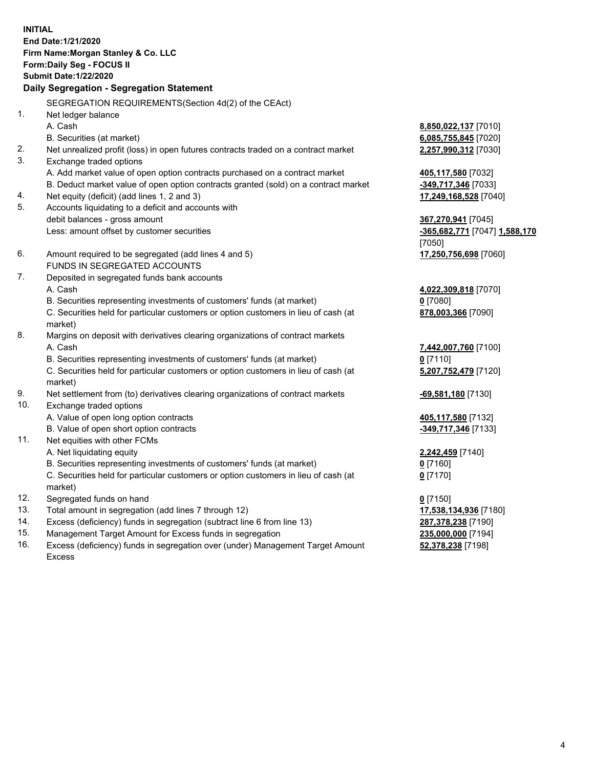**INITIAL End Date:1/21/2020 Firm Name:Morgan Stanley & Co. LLC Form:Daily Seg - FOCUS II Submit Date:1/22/2020 Daily Segregation - Segregation Statement** SEGREGATION REQUIREMENTS(Section 4d(2) of the CEAct) 1. Net ledger balance A. Cash **8,850,022,137** [7010] B. Securities (at market) **6,085,755,845** [7020] 2. Net unrealized profit (loss) in open futures contracts traded on a contract market **2,257,990,312** [7030] 3. Exchange traded options A. Add market value of open option contracts purchased on a contract market **405,117,580** [7032] B. Deduct market value of open option contracts granted (sold) on a contract market **-349,717,346** [7033] 4. Net equity (deficit) (add lines 1, 2 and 3) **17,249,168,528** [7040] 5. Accounts liquidating to a deficit and accounts with debit balances - gross amount **367,270,941** [7045] Less: amount offset by customer securities **-365,682,771** [7047] **1,588,170** [7050] 6. Amount required to be segregated (add lines 4 and 5) **17,250,756,698** [7060] FUNDS IN SEGREGATED ACCOUNTS 7. Deposited in segregated funds bank accounts A. Cash **4,022,309,818** [7070] B. Securities representing investments of customers' funds (at market) **0** [7080] C. Securities held for particular customers or option customers in lieu of cash (at market) **878,003,366** [7090] 8. Margins on deposit with derivatives clearing organizations of contract markets A. Cash **7,442,007,760** [7100] B. Securities representing investments of customers' funds (at market) **0** [7110] C. Securities held for particular customers or option customers in lieu of cash (at market) **5,207,752,479** [7120] 9. Net settlement from (to) derivatives clearing organizations of contract markets **-69,581,180** [7130] 10. Exchange traded options A. Value of open long option contracts **405,117,580** [7132] B. Value of open short option contracts **-349,717,346** [7133] 11. Net equities with other FCMs A. Net liquidating equity **2,242,459** [7140] B. Securities representing investments of customers' funds (at market) **0** [7160] C. Securities held for particular customers or option customers in lieu of cash (at market) **0** [7170] 12. Segregated funds on hand **0** [7150] 13. Total amount in segregation (add lines 7 through 12) **17,538,134,936** [7180] 14. Excess (deficiency) funds in segregation (subtract line 6 from line 13) **287,378,238** [7190]

- 15. Management Target Amount for Excess funds in segregation **235,000,000** [7194]
- 16. Excess (deficiency) funds in segregation over (under) Management Target Amount Excess

**52,378,238** [7198]